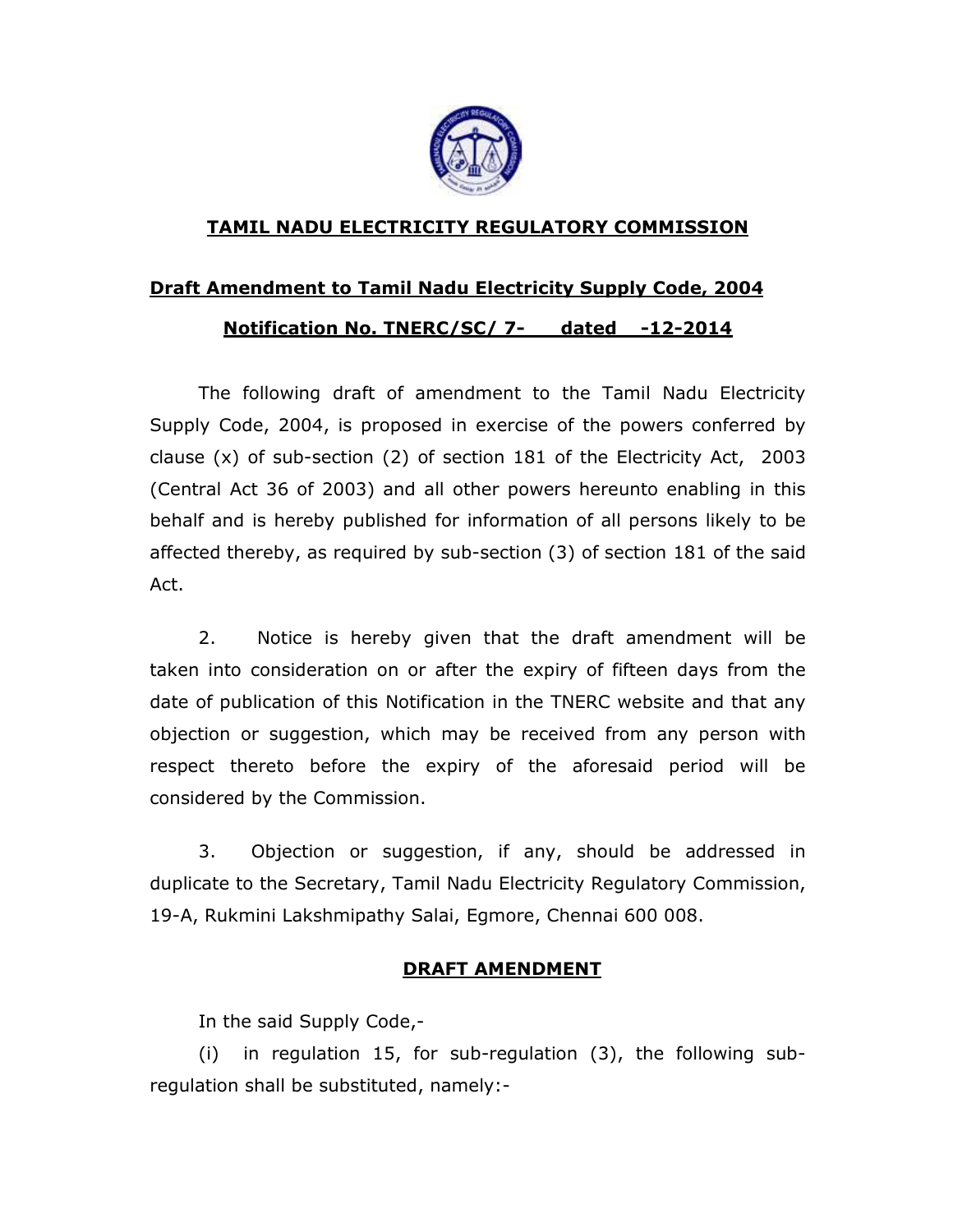

## TAMIL NADU ELECTRICITY REGULATORY COMMISSION

## Draft Amendment to Tamil Nadu Electricity Supply Code, 2004

## Notification No. TNERC/SC/ 7- dated -12-2014

The following draft of amendment to the Tamil Nadu Electricity Supply Code, 2004, is proposed in exercise of the powers conferred by clause (x) of sub-section (2) of section 181 of the Electricity Act, 2003 (Central Act 36 of 2003) and all other powers hereunto enabling in this behalf and is hereby published for information of all persons likely to be affected thereby, as required by sub-section (3) of section 181 of the said Act.

2. Notice is hereby given that the draft amendment will be taken into consideration on or after the expiry of fifteen days from the date of publication of this Notification in the TNERC website and that any objection or suggestion, which may be received from any person with respect thereto before the expiry of the aforesaid period will be considered by the Commission.

3. Objection or suggestion, if any, should be addressed in duplicate to the Secretary, Tamil Nadu Electricity Regulatory Commission, 19-A, Rukmini Lakshmipathy Salai, Egmore, Chennai 600 008.

## DRAFT AMENDMENT

In the said Supply Code,-

(i) in regulation 15, for sub-regulation (3), the following subregulation shall be substituted, namely:-